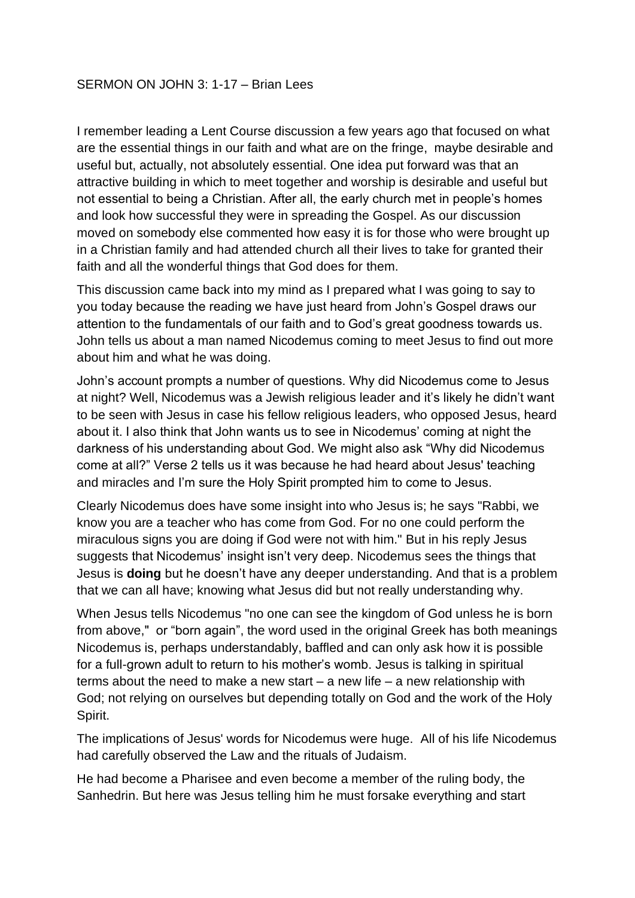I remember leading a Lent Course discussion a few years ago that focused on what are the essential things in our faith and what are on the fringe, maybe desirable and useful but, actually, not absolutely essential. One idea put forward was that an attractive building in which to meet together and worship is desirable and useful but not essential to being a Christian. After all, the early church met in people's homes and look how successful they were in spreading the Gospel. As our discussion moved on somebody else commented how easy it is for those who were brought up in a Christian family and had attended church all their lives to take for granted their faith and all the wonderful things that God does for them.

This discussion came back into my mind as I prepared what I was going to say to you today because the reading we have just heard from John's Gospel draws our attention to the fundamentals of our faith and to God's great goodness towards us. John tells us about a man named Nicodemus coming to meet Jesus to find out more about him and what he was doing.

John's account prompts a number of questions. Why did Nicodemus come to Jesus at night? Well, Nicodemus was a Jewish religious leader and it's likely he didn't want to be seen with Jesus in case his fellow religious leaders, who opposed Jesus, heard about it. I also think that John wants us to see in Nicodemus' coming at night the darkness of his understanding about God. We might also ask "Why did Nicodemus come at all?" Verse 2 tells us it was because he had heard about Jesus' teaching and miracles and I'm sure the Holy Spirit prompted him to come to Jesus.

Clearly Nicodemus does have some insight into who Jesus is; he says "Rabbi, we know you are a teacher who has come from God. For no one could perform the miraculous signs you are doing if God were not with him." But in his reply Jesus suggests that Nicodemus' insight isn't very deep. Nicodemus sees the things that Jesus is **doing** but he doesn't have any deeper understanding. And that is a problem that we can all have; knowing what Jesus did but not really understanding why.

When Jesus tells Nicodemus "no one can see the kingdom of God unless he is born from above," or "born again", the word used in the original Greek has both meanings Nicodemus is, perhaps understandably, baffled and can only ask how it is possible for a full-grown adult to return to his mother's womb. Jesus is talking in spiritual terms about the need to make a new start  $-$  a new life  $-$  a new relationship with God; not relying on ourselves but depending totally on God and the work of the Holy Spirit.

The implications of Jesus' words for Nicodemus were huge. All of his life Nicodemus had carefully observed the Law and the rituals of Judaism.

He had become a Pharisee and even become a member of the ruling body, the Sanhedrin. But here was Jesus telling him he must forsake everything and start